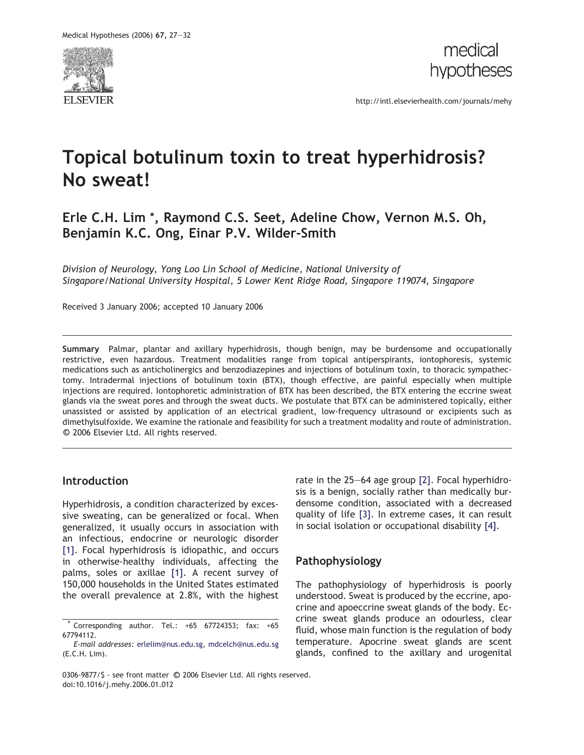



http://intl.elsevierhealth.com/journals/mehy

# Topical botulinum toxin to treat hyperhidrosis? No sweat!

## Erle C.H. Lim \*, Raymond C.S. Seet, Adeline Chow, Vernon M.S. Oh, Benjamin K.C. Ong, Einar P.V. Wilder-Smith

Division of Neurology, Yong Loo Lin School of Medicine, National University of Singapore/National University Hospital, 5 Lower Kent Ridge Road, Singapore 119074, Singapore

Received 3 January 2006; accepted 10 January 2006

Summary Palmar, plantar and axillary hyperhidrosis, though benign, may be burdensome and occupationally restrictive, even hazardous. Treatment modalities range from topical antiperspirants, iontophoresis, systemic medications such as anticholinergics and benzodiazepines and injections of botulinum toxin, to thoracic sympathectomy. Intradermal injections of botulinum toxin (BTX), though effective, are painful especially when multiple injections are required. Iontophoretic administration of BTX has been described, the BTX entering the eccrine sweat glands via the sweat pores and through the sweat ducts. We postulate that BTX can be administered topically, either unassisted or assisted by application of an electrical gradient, low-frequency ultrasound or excipients such as dimethylsulfoxide. We examine the rationale and feasibility for such a treatment modality and route of administration. © 2006 Elsevier Ltd. All rights reserved.

#### Introduction

Hyperhidrosis, a condition characterized by excessive sweating, can be generalized or focal. When generalized, it usually occurs in association with an infectious, endocrine or neurologic disorder [1]. Focal hyperhidrosis is idiopathic, and occurs in otherwise-healthy individuals, affecting the palms, soles or axillae [1]. A recent survey of 150,000 households in the United States estimated the overall prevalence at 2.8%, with the highest rate in the 25–64 age group [2]. Focal hyperhidrosis is a benign, socially rather than medically burdensome condition, associated with a decreased quality of life [3]. In extreme cases, it can result in social isolation or occupational disability [4].

### Pathophysiology

The pathophysiology of hyperhidrosis is poorly understood. Sweat is produced by the eccrine, apocrine and apoeccrine sweat glands of the body. Eccrine sweat glands produce an odourless, clear fluid, whose main function is the regulation of body temperature. Apocrine sweat glands are scent glands, confined to the axillary and urogenital

Corresponding author. Tel.: +65 67724353; fax: +65 67794112.

E-mail addresses: erlelim@nus.edu.sg, mdcelch@nus.edu.sg (E.C.H. Lim).

<sup>0306-9877/\$ -</sup> see front matter ©<br>doi:10.1016/j.mehy.2006.01.012 0306-9877/\$ - see front matter © 2006 Elsevier Ltd. All rights reserved.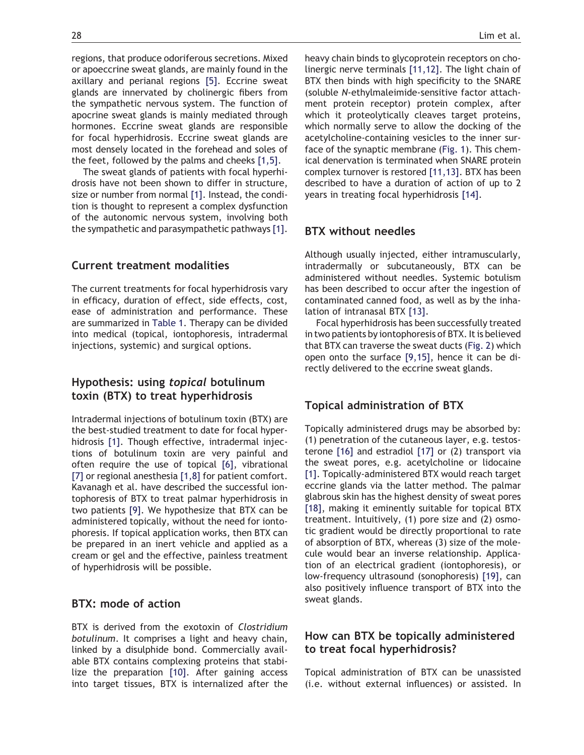regions, that produce odoriferous secretions. Mixed or apoeccrine sweat glands, are mainly found in the axillary and perianal regions [5]. Eccrine sweat glands are innervated by cholinergic fibers from the sympathetic nervous system. The function of apocrine sweat glands is mainly mediated through hormones. Eccrine sweat glands are responsible for focal hyperhidrosis. Eccrine sweat glands are most densely located in the forehead and soles of the feet, followed by the palms and cheeks [1,5].

The sweat glands of patients with focal hyperhidrosis have not been shown to differ in structure, size or number from normal [1]. Instead, the condition is thought to represent a complex dysfunction of the autonomic nervous system, involving both the sympathetic and parasympathetic pathways [1].

#### Current treatment modalities

The current treatments for focal hyperhidrosis vary in efficacy, duration of effect, side effects, cost, ease of administration and performance. These are summarized in Table 1. Therapy can be divided into medical (topical, iontophoresis, intradermal injections, systemic) and surgical options.

#### Hypothesis: using topical botulinum toxin (BTX) to treat hyperhidrosis

Intradermal injections of botulinum toxin (BTX) are the best-studied treatment to date for focal hyperhidrosis [1]. Though effective, intradermal injections of botulinum toxin are very painful and often require the use of topical [6], vibrational [7] or regional anesthesia [1,8] for patient comfort. Kavanagh et al. have described the successful iontophoresis of BTX to treat palmar hyperhidrosis in two patients [9]. We hypothesize that BTX can be administered topically, without the need for iontophoresis. If topical application works, then BTX can be prepared in an inert vehicle and applied as a cream or gel and the effective, painless treatment of hyperhidrosis will be possible.

#### BTX: mode of action

BTX is derived from the exotoxin of Clostridium botulinum. It comprises a light and heavy chain, linked by a disulphide bond. Commercially available BTX contains complexing proteins that stabilize the preparation [10]. After gaining access into target tissues, BTX is internalized after the

heavy chain binds to glycoprotein receptors on cholinergic nerve terminals [11,12]. The light chain of BTX then binds with high specificity to the SNARE (soluble N-ethylmaleimide-sensitive factor attachment protein receptor) protein complex, after which it proteolytically cleaves target proteins, which normally serve to allow the docking of the acetylcholine-containing vesicles to the inner surface of the synaptic membrane (Fig. 1). This chemical denervation is terminated when SNARE protein complex turnover is restored [11,13]. BTX has been described to have a duration of action of up to 2 years in treating focal hyperhidrosis [14].

#### BTX without needles

Although usually injected, either intramuscularly, intradermally or subcutaneously, BTX can be administered without needles. Systemic botulism has been described to occur after the ingestion of contaminated canned food, as well as by the inhalation of intranasal BTX [13].

Focal hyperhidrosis has been successfully treated in two patients by iontophoresis of BTX. It is believed that BTX can traverse the sweat ducts (Fig. 2) which open onto the surface [9,15], hence it can be directly delivered to the eccrine sweat glands.

### Topical administration of BTX

Topically administered drugs may be absorbed by: (1) penetration of the cutaneous layer, e.g. testosterone [16] and estradiol [17] or (2) transport via the sweat pores, e.g. acetylcholine or lidocaine [1]. Topically-administered BTX would reach target eccrine glands via the latter method. The palmar glabrous skin has the highest density of sweat pores [18], making it eminently suitable for topical BTX treatment. Intuitively, (1) pore size and (2) osmotic gradient would be directly proportional to rate of absorption of BTX, whereas (3) size of the molecule would bear an inverse relationship. Application of an electrical gradient (iontophoresis), or low-frequency ultrasound (sonophoresis) [19], can also positively influence transport of BTX into the sweat glands.

### How can BTX be topically administered to treat focal hyperhidrosis?

Topical administration of BTX can be unassisted (i.e. without external influences) or assisted. In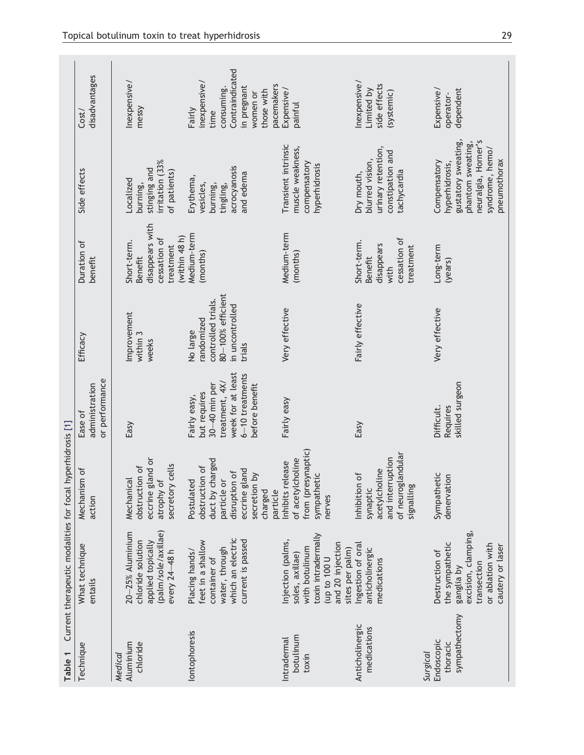| Table 1                                             | Current therapeutic modalities for focal hyperhidrosis [1]                                                                           |                                                                                                                                                  |                                                                                                                             |                                                                                                |                                                                                                  |                                                                                                                                      |                                                                                                                        |
|-----------------------------------------------------|--------------------------------------------------------------------------------------------------------------------------------------|--------------------------------------------------------------------------------------------------------------------------------------------------|-----------------------------------------------------------------------------------------------------------------------------|------------------------------------------------------------------------------------------------|--------------------------------------------------------------------------------------------------|--------------------------------------------------------------------------------------------------------------------------------------|------------------------------------------------------------------------------------------------------------------------|
| Technique                                           | What technique<br>entails                                                                                                            | Mechanism of<br>action                                                                                                                           | or performance<br>administration<br>Ease of                                                                                 | Efficacy                                                                                       | Duration of<br>benefit                                                                           | Side effects                                                                                                                         | disadvantages<br>Cost/                                                                                                 |
| Aluminium<br>chloride<br>Medical                    | (palm/sole/axillae)<br>$20 - 25%$ Aluminium<br>chloride solution<br>applied topically<br>every 24-48 h                               | eccrine gland or<br>secretory cells<br>obstruction of<br>atrophy of<br>Mechanical                                                                | Easy                                                                                                                        | Improvement<br>within 3<br>weeks                                                               | disappears with<br>(within $48h$ )<br>cessation of<br>Short-term.<br>treatment<br><b>Benefit</b> | irritation (33%<br>stinging and<br>of patients)<br><b>Localized</b><br>burning,                                                      | Inexpensive/<br>messy                                                                                                  |
| lontophoresis                                       | which an electric<br>current is passed<br>feet in a shallow<br>water, through<br>Placing hands/<br>container of                      | duct by charged<br>obstruction of<br>eccrine gland<br>disruption of<br>$\delta$<br>particle or<br>Postulated<br>secretion<br>particle<br>charged | week for at least<br>$6-10$ treatments<br>treatment, 4X/<br>30-40 min per<br>before benefit<br>but requires<br>Fairly easy, | 80-100% efficient<br>controlled trials.<br>in uncontrolled<br>randomized<br>No large<br>trials | Medium-term<br>(months)                                                                          | acrocyanosis<br>and edema<br>Erythema,<br>vesicles,<br>burning,<br>tingling,                                                         | Contraindicated<br>inexpensive/<br>pacemakers<br>consuming.<br>in pregnant<br>those with<br>women or<br>Fairly<br>time |
| botulinum<br>Intradermal<br>toxin                   | toxin intradermally<br>Injection (palms,<br>and 20 injection<br>with botulinum<br>sites per palm)<br>soles, axillae)<br>100 to 100 U | from (presynaptic)<br>of acetylcholine<br>Inhibits release<br>sympathetic<br>nerves                                                              | Fairly easy                                                                                                                 | Very effective                                                                                 | Medium-term<br>(months)                                                                          | Transient intrinsic<br>muscle weakness,<br>compensatory<br>hyperhidrosis                                                             | Expensive/<br>painful                                                                                                  |
| Anticholinergic<br>medications                      | Ingestion of oral<br>anticholinergic<br>medications                                                                                  | of neuroglandular<br>and interruption<br>acetylcholine<br>ðf<br>Inhibition<br>signalling<br>synaptic                                             | Easy                                                                                                                        | Fairly effective                                                                               | cessation of<br>Short-term.<br>disappears<br>treatment<br>Benefit<br>with                        | urinary retention,<br>constipation and<br>blurred vision,<br>tachycardia<br>Dry mouth,                                               | hexpensive/<br>side effects<br>Limited by<br>(systemic)                                                                |
| sympathectomy<br>Endoscopic<br>thoracic<br>Surgical | excision, clamping,<br>the sympathetic<br>or ablation with<br>cautery or laser<br>Destruction of<br>transection<br>ganglia by        | Sympathetic<br>denervation                                                                                                                       | skilled surgeon<br>Requires<br>Difficult.                                                                                   | Very effective                                                                                 | Long-term<br>(years)                                                                             | neuralgia, Horner's<br>gustatory sweating,<br>phantom sweating,<br>syndrome, hemo/<br>pneumothorax<br>Compensatory<br>hyperhidrosis, | dependent<br>Expensive/<br>operator-                                                                                   |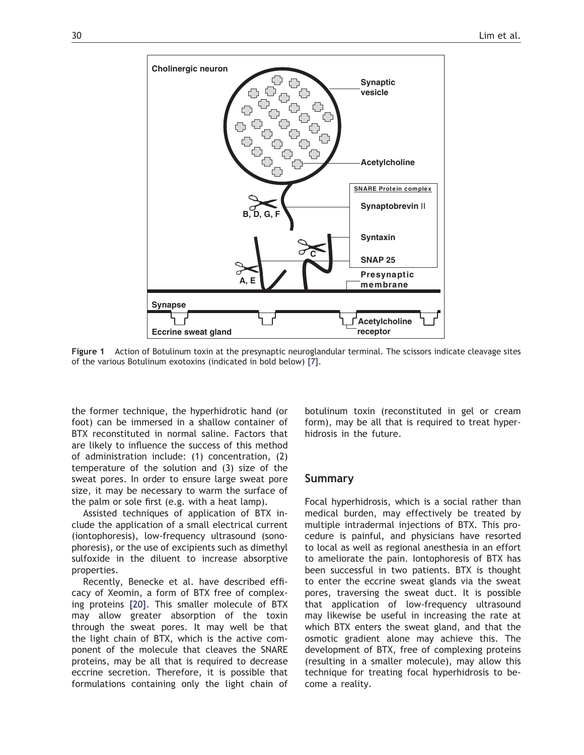

Figure 1 Action of Botulinum toxin at the presynaptic neuroglandular terminal. The scissors indicate cleavage sites of the various Botulinum exotoxins (indicated in bold below) [7].

the former technique, the hyperhidrotic hand (or foot) can be immersed in a shallow container of BTX reconstituted in normal saline. Factors that are likely to influence the success of this method of administration include: (1) concentration, (2) temperature of the solution and (3) size of the sweat pores. In order to ensure large sweat pore size, it may be necessary to warm the surface of the palm or sole first (e.g. with a heat lamp).

Assisted techniques of application of BTX include the application of a small electrical current (iontophoresis), low-frequency ultrasound (sonophoresis), or the use of excipients such as dimethyl sulfoxide in the diluent to increase absorptive properties.

Recently, Benecke et al. have described efficacy of Xeomin, a form of BTX free of complexing proteins [20]. This smaller molecule of BTX may allow greater absorption of the toxin through the sweat pores. It may well be that the light chain of BTX, which is the active component of the molecule that cleaves the SNARE proteins, may be all that is required to decrease eccrine secretion. Therefore, it is possible that formulations containing only the light chain of

botulinum toxin (reconstituted in gel or cream form), may be all that is required to treat hyperhidrosis in the future.

#### Summary

Focal hyperhidrosis, which is a social rather than medical burden, may effectively be treated by multiple intradermal injections of BTX. This procedure is painful, and physicians have resorted to local as well as regional anesthesia in an effort to ameliorate the pain. Iontophoresis of BTX has been successful in two patients. BTX is thought to enter the eccrine sweat glands via the sweat pores, traversing the sweat duct. It is possible that application of low-frequency ultrasound may likewise be useful in increasing the rate at which BTX enters the sweat gland, and that the osmotic gradient alone may achieve this. The development of BTX, free of complexing proteins (resulting in a smaller molecule), may allow this technique for treating focal hyperhidrosis to become a reality.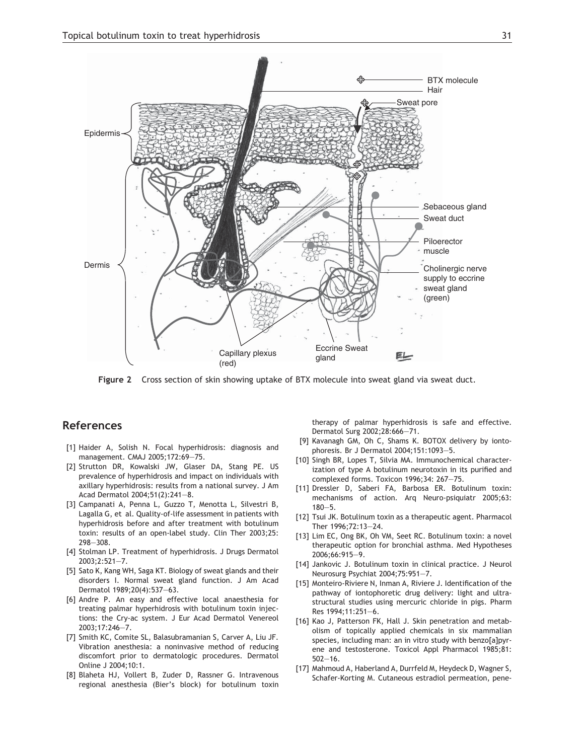

Figure 2 Cross section of skin showing uptake of BTX molecule into sweat gland via sweat duct.

#### References

- [1] Haider A, Solish N. Focal hyperhidrosis: diagnosis and management. CMAJ 2005;172:69–75.
- [2] Strutton DR, Kowalski JW, Glaser DA, Stang PE. US prevalence of hyperhidrosis and impact on individuals with axillary hyperhidrosis: results from a national survey. J Am Acad Dermatol 2004;51(2):241–8.
- [3] Campanati A, Penna L, Guzzo T, Menotta L, Silvestri B, Lagalla G, et al. Quality-of-life assessment in patients with hyperhidrosis before and after treatment with botulinum toxin: results of an open-label study. Clin Ther 2003;25: 298–308.
- [4] Stolman LP. Treatment of hyperhidrosis. J Drugs Dermatol 2003;2:521–7.
- [5] Sato K, Kang WH, Saga KT. Biology of sweat glands and their disorders I. Normal sweat gland function. J Am Acad Dermatol 1989;20(4):537–63.
- [6] Andre P. An easy and effective local anaesthesia for treating palmar hyperhidrosis with botulinum toxin injections: the Cry-ac system. J Eur Acad Dermatol Venereol 2003;17:246–7.
- [7] Smith KC, Comite SL, Balasubramanian S, Carver A, Liu JF. Vibration anesthesia: a noninvasive method of reducing discomfort prior to dermatologic procedures. Dermatol Online J 2004;10:1.
- [8] Blaheta HJ, Vollert B, Zuder D, Rassner G. Intravenous regional anesthesia (Bier's block) for botulinum toxin

therapy of palmar hyperhidrosis is safe and effective. Dermatol Surg 2002;28:666–71.

- [9] Kavanagh GM, Oh C, Shams K. BOTOX delivery by iontophoresis. Br J Dermatol 2004;151:1093–5.
- [10] Singh BR, Lopes T, Silvia MA. Immunochemical characterization of type A botulinum neurotoxin in its purified and complexed forms. Toxicon 1996;34: 267–75.
- [11] Dressler D, Saberi FA, Barbosa ER. Botulinum toxin: mechanisms of action. Arq Neuro-psiquiatr 2005;63: 180–5.
- [12] Tsui JK. Botulinum toxin as a therapeutic agent. Pharmacol Ther 1996;72:13–24.
- [13] Lim EC, Ong BK, Oh VM, Seet RC. Botulinum toxin: a novel therapeutic option for bronchial asthma. Med Hypotheses 2006;66:915–9.
- [14] Jankovic J. Botulinum toxin in clinical practice. J Neurol Neurosurg Psychiat 2004;75:951–7.
- [15] Monteiro-Riviere N, Inman A, Riviere J. Identification of the pathway of iontophoretic drug delivery: light and ultrastructural studies using mercuric chloride in pigs. Pharm Res 1994;11:251–6.
- [16] Kao J, Patterson FK, Hall J. Skin penetration and metabolism of topically applied chemicals in six mammalian species, including man: an in vitro study with benzo[a]pyrene and testosterone. Toxicol Appl Pharmacol 1985;81: 502–16.
- [17] Mahmoud A, Haberland A, Durrfeld M, Heydeck D, Wagner S, Schafer-Korting M. Cutaneous estradiol permeation, pene-